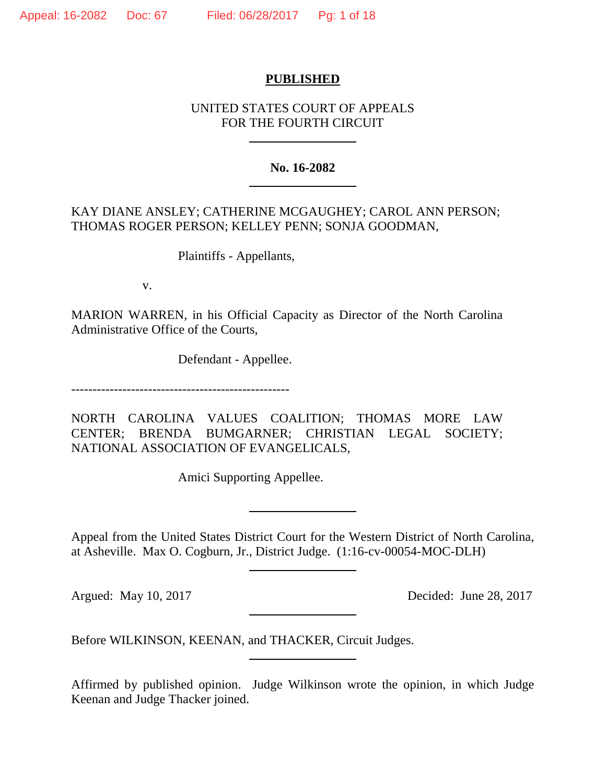## **PUBLISHED**

# UNITED STATES COURT OF APPEALS FOR THE FOURTH CIRCUIT

## **No. 16-2082**

# KAY DIANE ANSLEY; CATHERINE MCGAUGHEY; CAROL ANN PERSON; THOMAS ROGER PERSON; KELLEY PENN; SONJA GOODMAN,

Plaintiffs - Appellants,

v.

MARION WARREN, in his Official Capacity as Director of the North Carolina Administrative Office of the Courts,

Defendant - Appellee.

---------------------------------------------------

NORTH CAROLINA VALUES COALITION; THOMAS MORE LAW CENTER; BRENDA BUMGARNER; CHRISTIAN LEGAL SOCIETY; NATIONAL ASSOCIATION OF EVANGELICALS,

Amici Supporting Appellee.

Appeal from the United States District Court for the Western District of North Carolina, at Asheville. Max O. Cogburn, Jr., District Judge. (1:16-cv-00054-MOC-DLH)

Argued: May 10, 2017 Decided: June 28, 2017

Before WILKINSON, KEENAN, and THACKER, Circuit Judges.

Affirmed by published opinion. Judge Wilkinson wrote the opinion, in which Judge Keenan and Judge Thacker joined.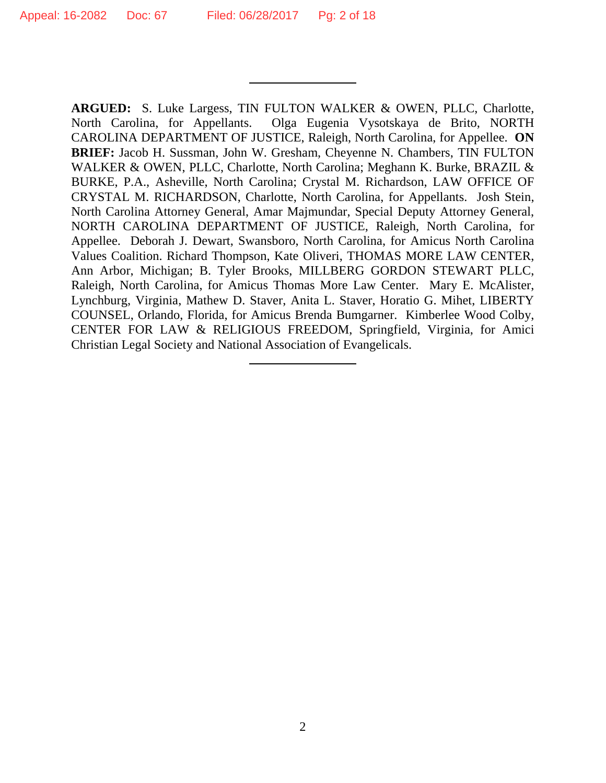**ARGUED:** S. Luke Largess, TIN FULTON WALKER & OWEN, PLLC, Charlotte, North Carolina, for Appellants. Olga Eugenia Vysotskaya de Brito, NORTH CAROLINA DEPARTMENT OF JUSTICE, Raleigh, North Carolina, for Appellee. **ON BRIEF:** Jacob H. Sussman, John W. Gresham, Cheyenne N. Chambers, TIN FULTON WALKER & OWEN, PLLC, Charlotte, North Carolina; Meghann K. Burke, BRAZIL & BURKE, P.A., Asheville, North Carolina; Crystal M. Richardson, LAW OFFICE OF CRYSTAL M. RICHARDSON, Charlotte, North Carolina, for Appellants. Josh Stein, North Carolina Attorney General, Amar Majmundar, Special Deputy Attorney General, NORTH CAROLINA DEPARTMENT OF JUSTICE, Raleigh, North Carolina, for Appellee. Deborah J. Dewart, Swansboro, North Carolina, for Amicus North Carolina Values Coalition. Richard Thompson, Kate Oliveri, THOMAS MORE LAW CENTER, Ann Arbor, Michigan; B. Tyler Brooks, MILLBERG GORDON STEWART PLLC, Raleigh, North Carolina, for Amicus Thomas More Law Center. Mary E. McAlister, Lynchburg, Virginia, Mathew D. Staver, Anita L. Staver, Horatio G. Mihet, LIBERTY COUNSEL, Orlando, Florida, for Amicus Brenda Bumgarner. Kimberlee Wood Colby, CENTER FOR LAW & RELIGIOUS FREEDOM, Springfield, Virginia, for Amici Christian Legal Society and National Association of Evangelicals.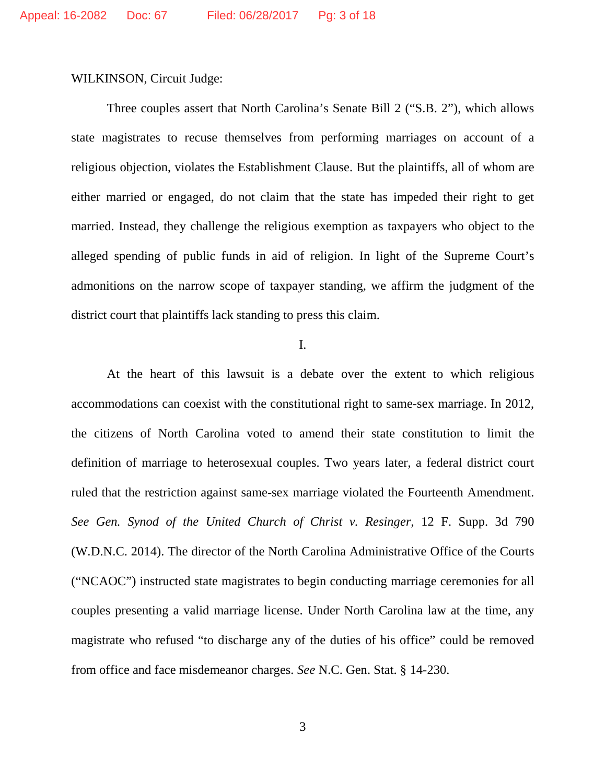WILKINSON, Circuit Judge:

Three couples assert that North Carolina's Senate Bill 2 ("S.B. 2"), which allows state magistrates to recuse themselves from performing marriages on account of a religious objection, violates the Establishment Clause. But the plaintiffs, all of whom are either married or engaged, do not claim that the state has impeded their right to get married. Instead, they challenge the religious exemption as taxpayers who object to the alleged spending of public funds in aid of religion. In light of the Supreme Court's admonitions on the narrow scope of taxpayer standing, we affirm the judgment of the district court that plaintiffs lack standing to press this claim.

I.

At the heart of this lawsuit is a debate over the extent to which religious accommodations can coexist with the constitutional right to same-sex marriage. In 2012, the citizens of North Carolina voted to amend their state constitution to limit the definition of marriage to heterosexual couples. Two years later, a federal district court ruled that the restriction against same-sex marriage violated the Fourteenth Amendment. *See Gen. Synod of the United Church of Christ v. Resinger*, 12 F. Supp. 3d 790 (W.D.N.C. 2014). The director of the North Carolina Administrative Office of the Courts ("NCAOC") instructed state magistrates to begin conducting marriage ceremonies for all couples presenting a valid marriage license. Under North Carolina law at the time, any magistrate who refused "to discharge any of the duties of his office" could be removed from office and face misdemeanor charges. *See* N.C. Gen. Stat. § 14-230.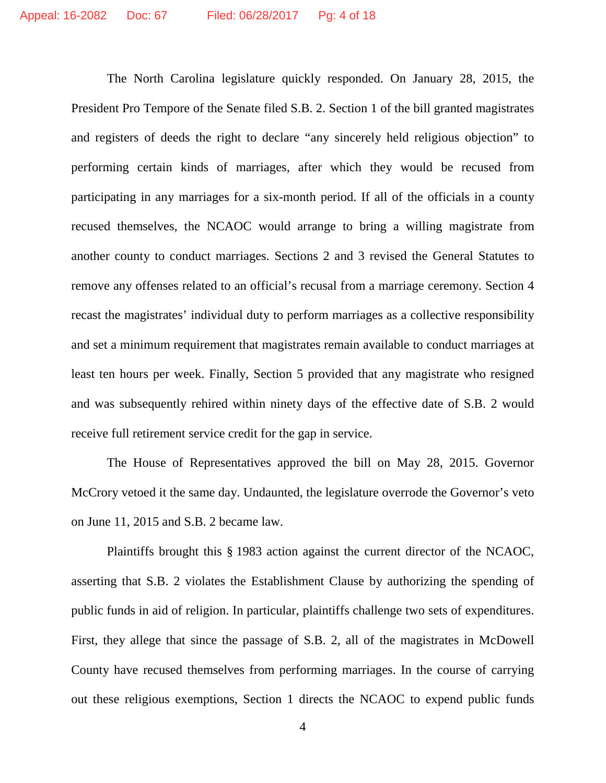The North Carolina legislature quickly responded. On January 28, 2015, the President Pro Tempore of the Senate filed S.B. 2. Section 1 of the bill granted magistrates and registers of deeds the right to declare "any sincerely held religious objection" to performing certain kinds of marriages, after which they would be recused from participating in any marriages for a six-month period. If all of the officials in a county recused themselves, the NCAOC would arrange to bring a willing magistrate from another county to conduct marriages. Sections 2 and 3 revised the General Statutes to remove any offenses related to an official's recusal from a marriage ceremony. Section 4 recast the magistrates' individual duty to perform marriages as a collective responsibility and set a minimum requirement that magistrates remain available to conduct marriages at least ten hours per week. Finally, Section 5 provided that any magistrate who resigned and was subsequently rehired within ninety days of the effective date of S.B. 2 would receive full retirement service credit for the gap in service.

The House of Representatives approved the bill on May 28, 2015. Governor McCrory vetoed it the same day. Undaunted, the legislature overrode the Governor's veto on June 11, 2015 and S.B. 2 became law.

Plaintiffs brought this § 1983 action against the current director of the NCAOC, asserting that S.B. 2 violates the Establishment Clause by authorizing the spending of public funds in aid of religion. In particular, plaintiffs challenge two sets of expenditures. First, they allege that since the passage of S.B. 2, all of the magistrates in McDowell County have recused themselves from performing marriages. In the course of carrying out these religious exemptions, Section 1 directs the NCAOC to expend public funds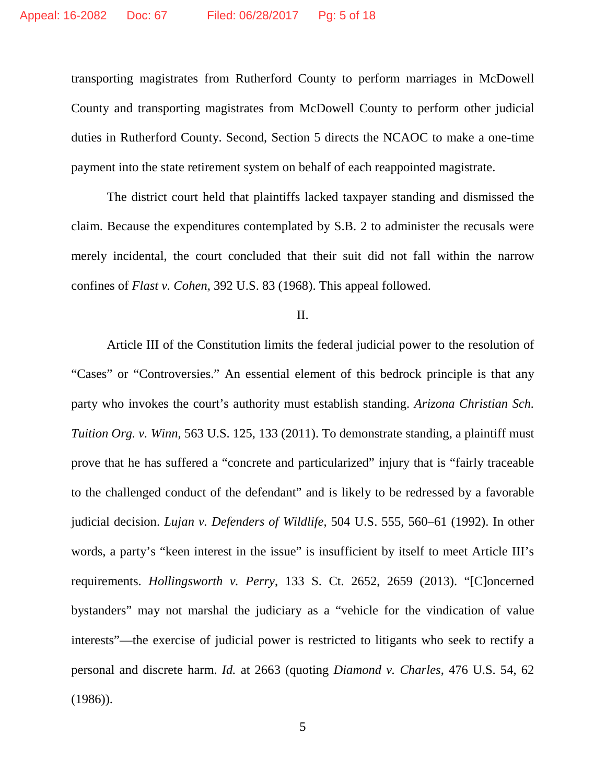transporting magistrates from Rutherford County to perform marriages in McDowell County and transporting magistrates from McDowell County to perform other judicial duties in Rutherford County. Second, Section 5 directs the NCAOC to make a one-time payment into the state retirement system on behalf of each reappointed magistrate.

The district court held that plaintiffs lacked taxpayer standing and dismissed the claim. Because the expenditures contemplated by S.B. 2 to administer the recusals were merely incidental, the court concluded that their suit did not fall within the narrow confines of *Flast v. Cohen*, 392 U.S. 83 (1968). This appeal followed.

### II.

Article III of the Constitution limits the federal judicial power to the resolution of "Cases" or "Controversies." An essential element of this bedrock principle is that any party who invokes the court's authority must establish standing. *Arizona Christian Sch. Tuition Org. v. Winn*, 563 U.S. 125, 133 (2011). To demonstrate standing, a plaintiff must prove that he has suffered a "concrete and particularized" injury that is "fairly traceable to the challenged conduct of the defendant" and is likely to be redressed by a favorable judicial decision. *Lujan v. Defenders of Wildlife*, 504 U.S. 555, 560–61 (1992). In other words, a party's "keen interest in the issue" is insufficient by itself to meet Article III's requirements. *Hollingsworth v. Perry*, 133 S. Ct. 2652, 2659 (2013). "[C]oncerned bystanders" may not marshal the judiciary as a "vehicle for the vindication of value interests"—the exercise of judicial power is restricted to litigants who seek to rectify a personal and discrete harm. *Id.* at 2663 (quoting *Diamond v. Charles*, 476 U.S. 54, 62 (1986)).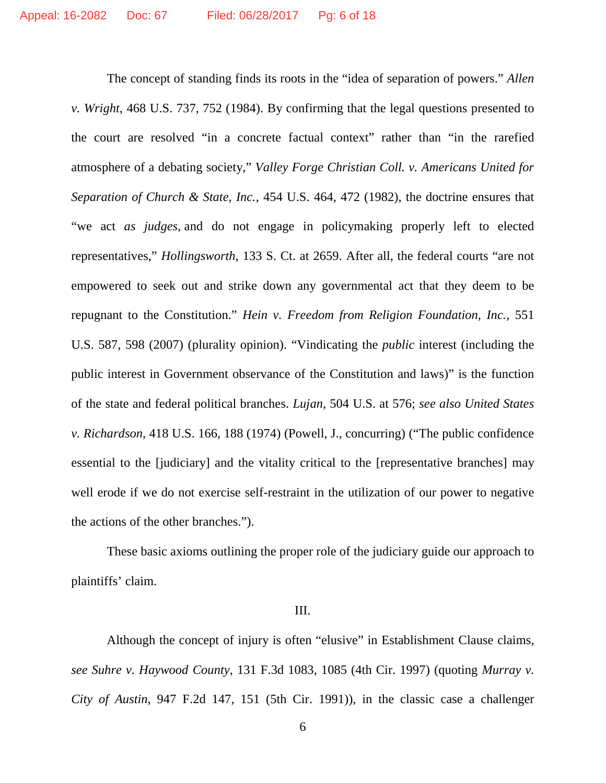The concept of standing finds its roots in the "idea of separation of powers." *Allen v. Wright*, 468 U.S. 737, 752 (1984). By confirming that the legal questions presented to the court are resolved "in a concrete factual context" rather than "in the rarefied atmosphere of a debating society," *Valley Forge Christian Coll. v. Americans United for Separation of Church & State, Inc.*, 454 U.S. 464, 472 (1982), the doctrine ensures that "we act *as judges*, and do not engage in policymaking properly left to elected representatives," *Hollingsworth*, 133 S. Ct. at 2659. After all, the federal courts "are not empowered to seek out and strike down any governmental act that they deem to be repugnant to the Constitution." *Hein v. Freedom from Religion Foundation, Inc.*, 551 U.S. 587, 598 (2007) (plurality opinion). "Vindicating the *public* interest (including the public interest in Government observance of the Constitution and laws)" is the function of the state and federal political branches. *Lujan*, 504 U.S. at 576; *see also United States v. Richardson*, 418 U.S. 166, 188 (1974) (Powell, J., concurring) ("The public confidence essential to the [judiciary] and the vitality critical to the [representative branches] may well erode if we do not exercise self-restraint in the utilization of our power to negative the actions of the other branches.").

These basic axioms outlining the proper role of the judiciary guide our approach to plaintiffs' claim.

## III.

Although the concept of injury is often "elusive" in Establishment Clause claims, *see Suhre v. Haywood County*, 131 F.3d 1083, 1085 (4th Cir. 1997) (quoting *Murray v. City of Austin*, 947 F.2d 147, 151 (5th Cir. 1991)), in the classic case a challenger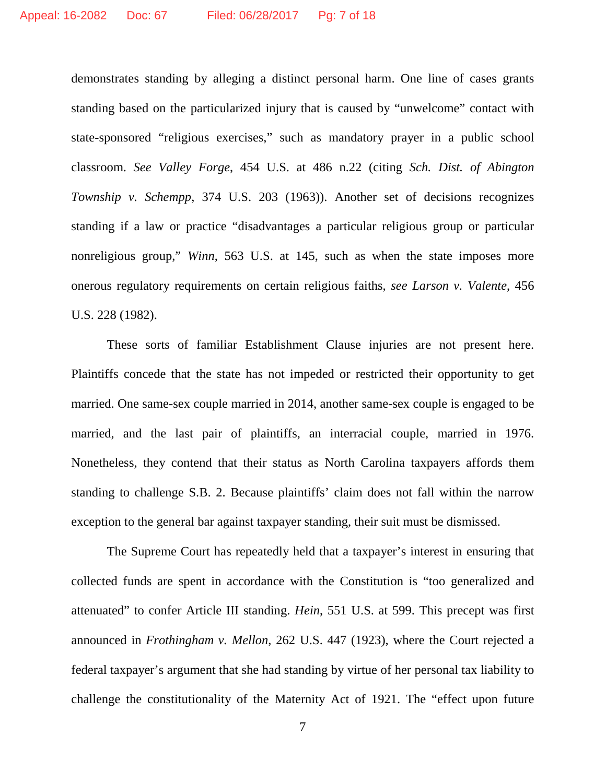demonstrates standing by alleging a distinct personal harm. One line of cases grants standing based on the particularized injury that is caused by "unwelcome" contact with state-sponsored "religious exercises," such as mandatory prayer in a public school classroom. *See Valley Forge*, 454 U.S. at 486 n.22 (citing *Sch. Dist. of Abington Township v. Schempp*, 374 U.S. 203 (1963)). Another set of decisions recognizes standing if a law or practice "disadvantages a particular religious group or particular nonreligious group," *Winn*, 563 U.S. at 145, such as when the state imposes more onerous regulatory requirements on certain religious faiths, *see Larson v. Valente*, 456 U.S. 228 (1982).

These sorts of familiar Establishment Clause injuries are not present here. Plaintiffs concede that the state has not impeded or restricted their opportunity to get married. One same-sex couple married in 2014, another same-sex couple is engaged to be married, and the last pair of plaintiffs, an interracial couple, married in 1976. Nonetheless, they contend that their status as North Carolina taxpayers affords them standing to challenge S.B. 2. Because plaintiffs' claim does not fall within the narrow exception to the general bar against taxpayer standing, their suit must be dismissed.

The Supreme Court has repeatedly held that a taxpayer's interest in ensuring that collected funds are spent in accordance with the Constitution is "too generalized and attenuated" to confer Article III standing. *Hein*, 551 U.S. at 599. This precept was first announced in *Frothingham v. Mellon*, 262 U.S. 447 (1923), where the Court rejected a federal taxpayer's argument that she had standing by virtue of her personal tax liability to challenge the constitutionality of the Maternity Act of 1921. The "effect upon future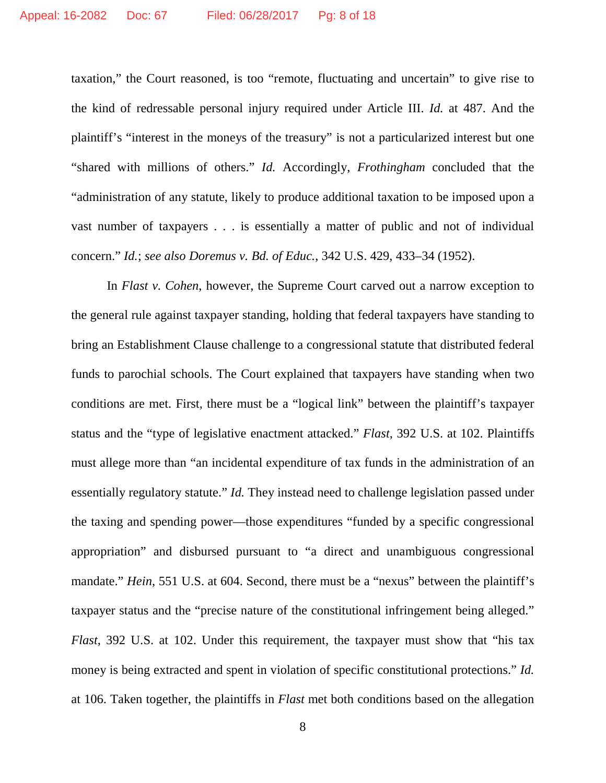taxation," the Court reasoned, is too "remote, fluctuating and uncertain" to give rise to the kind of redressable personal injury required under Article III. *Id.* at 487. And the plaintiff's "interest in the moneys of the treasury" is not a particularized interest but one "shared with millions of others." *Id.* Accordingly, *Frothingham* concluded that the "administration of any statute, likely to produce additional taxation to be imposed upon a vast number of taxpayers . . . is essentially a matter of public and not of individual concern." *Id.*; *see also Doremus v. Bd. of Educ.*, 342 U.S. 429, 433–34 (1952).

In *Flast v. Cohen*, however, the Supreme Court carved out a narrow exception to the general rule against taxpayer standing, holding that federal taxpayers have standing to bring an Establishment Clause challenge to a congressional statute that distributed federal funds to parochial schools. The Court explained that taxpayers have standing when two conditions are met. First, there must be a "logical link" between the plaintiff's taxpayer status and the "type of legislative enactment attacked." *Flast*, 392 U.S. at 102. Plaintiffs must allege more than "an incidental expenditure of tax funds in the administration of an essentially regulatory statute." *Id.* They instead need to challenge legislation passed under the taxing and spending power—those expenditures "funded by a specific congressional appropriation" and disbursed pursuant to "a direct and unambiguous congressional mandate." *Hein*, 551 U.S. at 604. Second, there must be a "nexus" between the plaintiff's taxpayer status and the "precise nature of the constitutional infringement being alleged." *Flast*, 392 U.S. at 102. Under this requirement, the taxpayer must show that "his tax money is being extracted and spent in violation of specific constitutional protections." *Id.*  at 106. Taken together, the plaintiffs in *Flast* met both conditions based on the allegation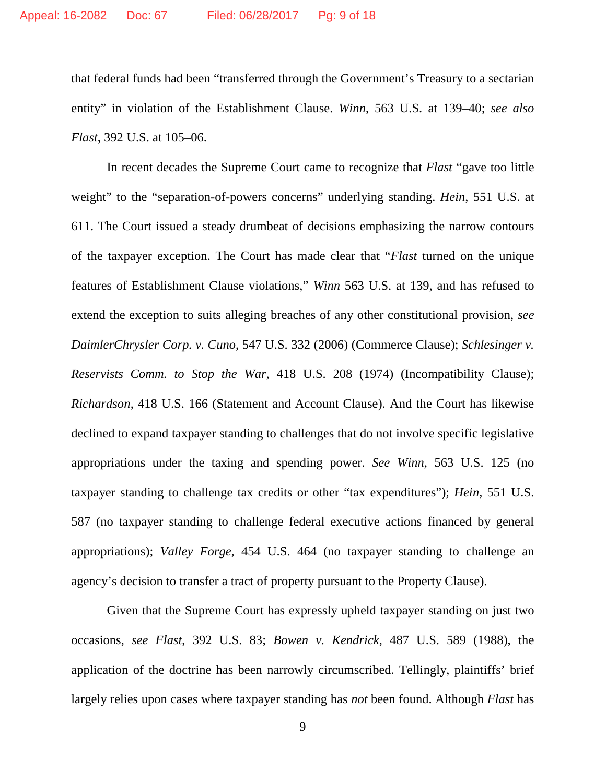that federal funds had been "transferred through the Government's Treasury to a sectarian entity" in violation of the Establishment Clause. *Winn*, 563 U.S. at 139–40; *see also Flast*, 392 U.S. at 105–06.

In recent decades the Supreme Court came to recognize that *Flast* "gave too little weight" to the "separation-of-powers concerns" underlying standing. *Hein*, 551 U.S. at 611. The Court issued a steady drumbeat of decisions emphasizing the narrow contours of the taxpayer exception. The Court has made clear that "*Flast* turned on the unique features of Establishment Clause violations," *Winn* 563 U.S. at 139, and has refused to extend the exception to suits alleging breaches of any other constitutional provision, *see DaimlerChrysler Corp. v. Cuno*, 547 U.S. 332 (2006) (Commerce Clause); *Schlesinger v. Reservists Comm. to Stop the War*, 418 U.S. 208 (1974) (Incompatibility Clause); *Richardson*, 418 U.S. 166 (Statement and Account Clause). And the Court has likewise declined to expand taxpayer standing to challenges that do not involve specific legislative appropriations under the taxing and spending power. *See Winn*, 563 U.S. 125 (no taxpayer standing to challenge tax credits or other "tax expenditures"); *Hein*, 551 U.S. 587 (no taxpayer standing to challenge federal executive actions financed by general appropriations); *Valley Forge*, 454 U.S. 464 (no taxpayer standing to challenge an agency's decision to transfer a tract of property pursuant to the Property Clause).

Given that the Supreme Court has expressly upheld taxpayer standing on just two occasions, *see Flast*, 392 U.S. 83; *Bowen v. Kendrick*, 487 U.S. 589 (1988), the application of the doctrine has been narrowly circumscribed. Tellingly, plaintiffs' brief largely relies upon cases where taxpayer standing has *not* been found. Although *Flast* has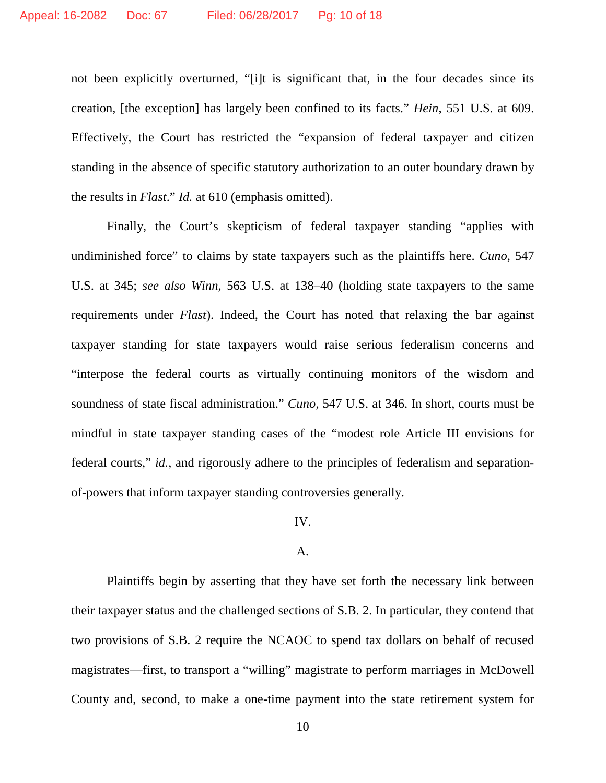not been explicitly overturned, "[i]t is significant that, in the four decades since its creation, [the exception] has largely been confined to its facts." *Hein*, 551 U.S. at 609. Effectively, the Court has restricted the "expansion of federal taxpayer and citizen standing in the absence of specific statutory authorization to an outer boundary drawn by the results in *Flast*." *Id.* at 610 (emphasis omitted).

Finally, the Court's skepticism of federal taxpayer standing "applies with undiminished force" to claims by state taxpayers such as the plaintiffs here. *Cuno*, 547 U.S. at 345; *see also Winn*, 563 U.S. at 138–40 (holding state taxpayers to the same requirements under *Flast*). Indeed, the Court has noted that relaxing the bar against taxpayer standing for state taxpayers would raise serious federalism concerns and "interpose the federal courts as virtually continuing monitors of the wisdom and soundness of state fiscal administration." *Cuno*, 547 U.S. at 346. In short, courts must be mindful in state taxpayer standing cases of the "modest role Article III envisions for federal courts," *id.*, and rigorously adhere to the principles of federalism and separationof-powers that inform taxpayer standing controversies generally.

## IV.

## A.

Plaintiffs begin by asserting that they have set forth the necessary link between their taxpayer status and the challenged sections of S.B. 2. In particular, they contend that two provisions of S.B. 2 require the NCAOC to spend tax dollars on behalf of recused magistrates—first, to transport a "willing" magistrate to perform marriages in McDowell County and, second, to make a one-time payment into the state retirement system for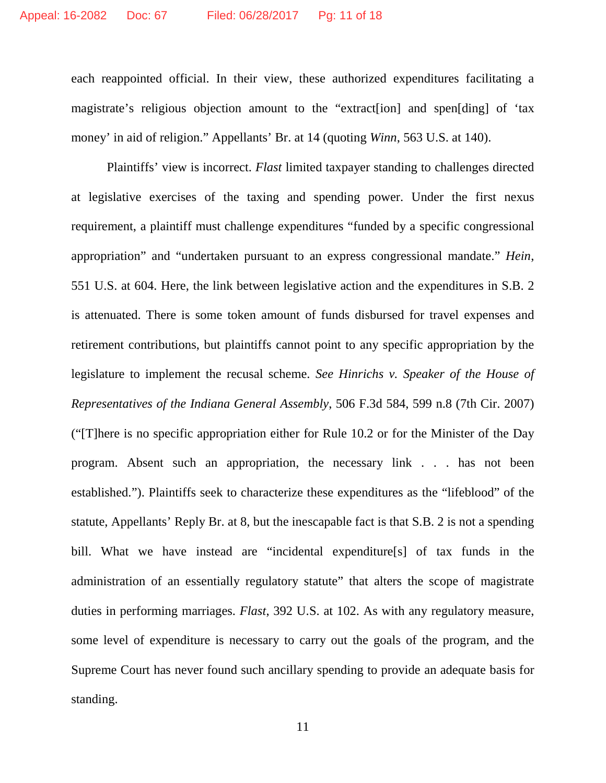each reappointed official. In their view, these authorized expenditures facilitating a magistrate's religious objection amount to the "extract[ion] and spen[ding] of 'tax money' in aid of religion." Appellants' Br. at 14 (quoting *Winn*, 563 U.S. at 140).

Plaintiffs' view is incorrect. *Flast* limited taxpayer standing to challenges directed at legislative exercises of the taxing and spending power. Under the first nexus requirement, a plaintiff must challenge expenditures "funded by a specific congressional appropriation" and "undertaken pursuant to an express congressional mandate." *Hein*, 551 U.S. at 604. Here, the link between legislative action and the expenditures in S.B. 2 is attenuated. There is some token amount of funds disbursed for travel expenses and retirement contributions, but plaintiffs cannot point to any specific appropriation by the legislature to implement the recusal scheme. *See Hinrichs v. Speaker of the House of Representatives of the Indiana General Assembly*, 506 F.3d 584, 599 n.8 (7th Cir. 2007) ("[T]here is no specific appropriation either for Rule 10.2 or for the Minister of the Day program. Absent such an appropriation, the necessary link . . . has not been established."). Plaintiffs seek to characterize these expenditures as the "lifeblood" of the statute, Appellants' Reply Br. at 8, but the inescapable fact is that S.B. 2 is not a spending bill. What we have instead are "incidental expenditure[s] of tax funds in the administration of an essentially regulatory statute" that alters the scope of magistrate duties in performing marriages. *Flast*, 392 U.S. at 102. As with any regulatory measure, some level of expenditure is necessary to carry out the goals of the program, and the Supreme Court has never found such ancillary spending to provide an adequate basis for standing.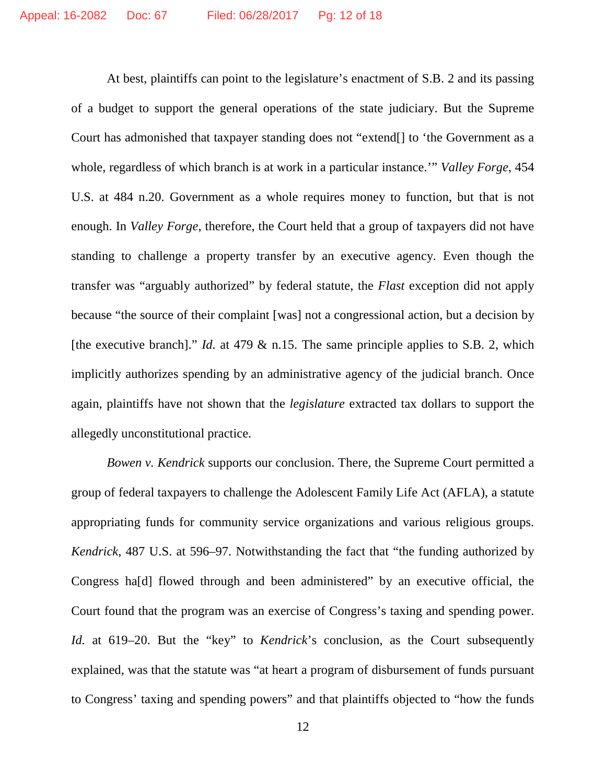At best, plaintiffs can point to the legislature's enactment of S.B. 2 and its passing of a budget to support the general operations of the state judiciary. But the Supreme Court has admonished that taxpayer standing does not "extend[] to 'the Government as a whole, regardless of which branch is at work in a particular instance.'" *Valley Forge*, 454 U.S. at 484 n.20. Government as a whole requires money to function, but that is not enough. In *Valley Forge*, therefore, the Court held that a group of taxpayers did not have standing to challenge a property transfer by an executive agency. Even though the transfer was "arguably authorized" by federal statute, the *Flast* exception did not apply because "the source of their complaint [was] not a congressional action, but a decision by [the executive branch]." *Id.* at 479 & n.15. The same principle applies to S.B. 2, which implicitly authorizes spending by an administrative agency of the judicial branch. Once again, plaintiffs have not shown that the *legislature* extracted tax dollars to support the allegedly unconstitutional practice.

*Bowen v. Kendrick* supports our conclusion. There, the Supreme Court permitted a group of federal taxpayers to challenge the Adolescent Family Life Act (AFLA), a statute appropriating funds for community service organizations and various religious groups. *Kendrick*, 487 U.S. at 596–97. Notwithstanding the fact that "the funding authorized by Congress ha[d] flowed through and been administered" by an executive official, the Court found that the program was an exercise of Congress's taxing and spending power. *Id.* at 619–20. But the "key" to *Kendrick*'s conclusion, as the Court subsequently explained, was that the statute was "at heart a program of disbursement of funds pursuant to Congress' taxing and spending powers" and that plaintiffs objected to "how the funds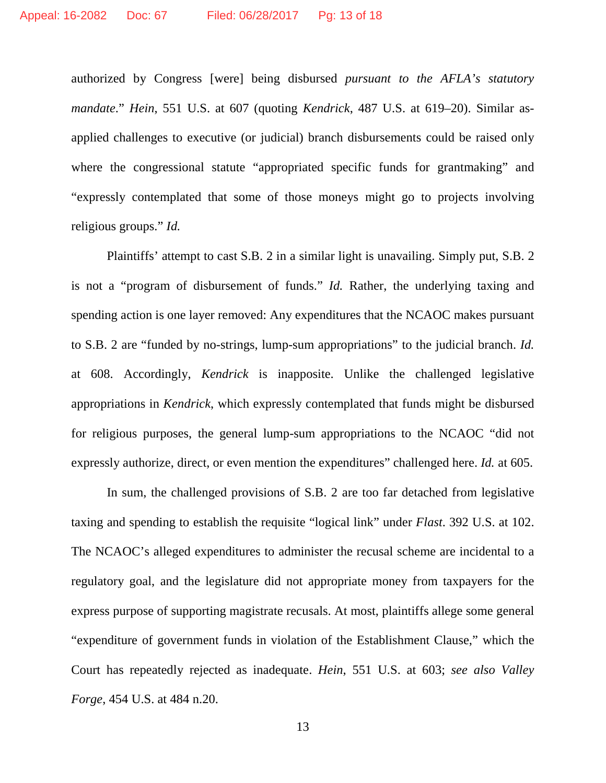authorized by Congress [were] being disbursed *pursuant to the AFLA's statutory mandate*." *Hein*, 551 U.S. at 607 (quoting *Kendrick*, 487 U.S. at 619–20). Similar asapplied challenges to executive (or judicial) branch disbursements could be raised only where the congressional statute "appropriated specific funds for grantmaking" and "expressly contemplated that some of those moneys might go to projects involving religious groups." *Id.*

Plaintiffs' attempt to cast S.B. 2 in a similar light is unavailing. Simply put, S.B. 2 is not a "program of disbursement of funds." *Id.* Rather, the underlying taxing and spending action is one layer removed: Any expenditures that the NCAOC makes pursuant to S.B. 2 are "funded by no-strings, lump-sum appropriations" to the judicial branch. *Id.* at 608. Accordingly, *Kendrick* is inapposite. Unlike the challenged legislative appropriations in *Kendrick*, which expressly contemplated that funds might be disbursed for religious purposes, the general lump-sum appropriations to the NCAOC "did not expressly authorize, direct, or even mention the expenditures" challenged here. *Id.* at 605.

In sum, the challenged provisions of S.B. 2 are too far detached from legislative taxing and spending to establish the requisite "logical link" under *Flast*. 392 U.S. at 102. The NCAOC's alleged expenditures to administer the recusal scheme are incidental to a regulatory goal, and the legislature did not appropriate money from taxpayers for the express purpose of supporting magistrate recusals. At most, plaintiffs allege some general "expenditure of government funds in violation of the Establishment Clause," which the Court has repeatedly rejected as inadequate. *Hein*, 551 U.S. at 603; *see also Valley Forge*, 454 U.S. at 484 n.20.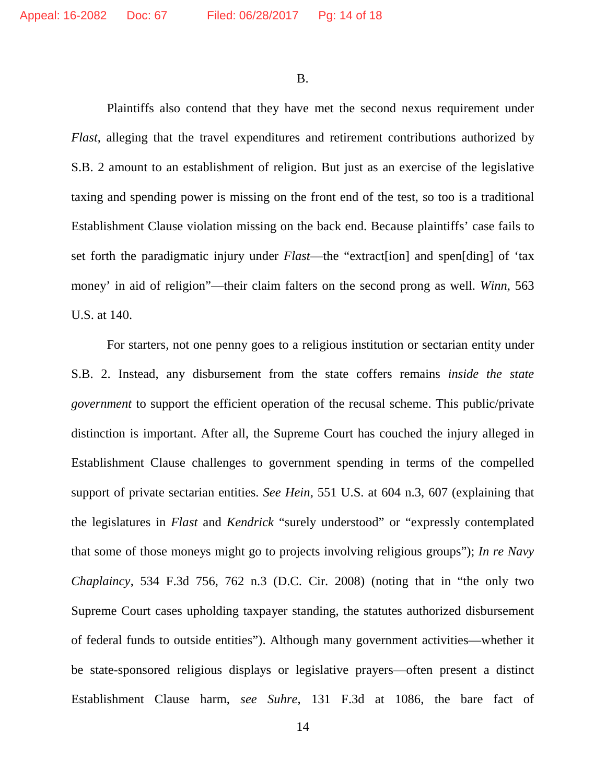B.

Plaintiffs also contend that they have met the second nexus requirement under *Flast*, alleging that the travel expenditures and retirement contributions authorized by S.B. 2 amount to an establishment of religion. But just as an exercise of the legislative taxing and spending power is missing on the front end of the test, so too is a traditional Establishment Clause violation missing on the back end. Because plaintiffs' case fails to set forth the paradigmatic injury under *Flast*—the "extract[ion] and spen[ding] of 'tax money' in aid of religion"—their claim falters on the second prong as well. *Winn*, 563 U.S. at 140.

For starters, not one penny goes to a religious institution or sectarian entity under S.B. 2. Instead, any disbursement from the state coffers remains *inside the state government* to support the efficient operation of the recusal scheme. This public/private distinction is important. After all, the Supreme Court has couched the injury alleged in Establishment Clause challenges to government spending in terms of the compelled support of private sectarian entities. *See Hein*, 551 U.S. at 604 n.3, 607 (explaining that the legislatures in *Flast* and *Kendrick* "surely understood" or "expressly contemplated that some of those moneys might go to projects involving religious groups"); *In re Navy Chaplaincy*, 534 F.3d 756, 762 n.3 (D.C. Cir. 2008) (noting that in "the only two Supreme Court cases upholding taxpayer standing, the statutes authorized disbursement of federal funds to outside entities"). Although many government activities—whether it be state-sponsored religious displays or legislative prayers—often present a distinct Establishment Clause harm, *see Suhre*, 131 F.3d at 1086, the bare fact of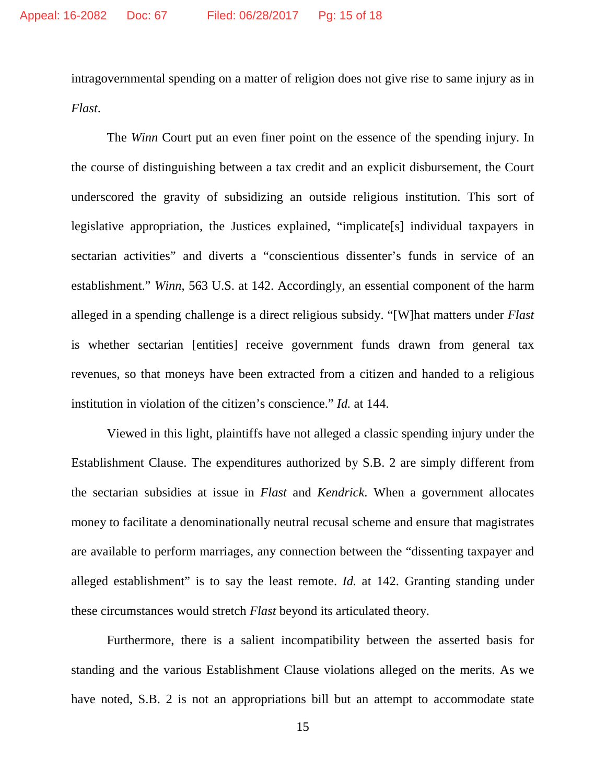intragovernmental spending on a matter of religion does not give rise to same injury as in *Flast*.

The *Winn* Court put an even finer point on the essence of the spending injury. In the course of distinguishing between a tax credit and an explicit disbursement, the Court underscored the gravity of subsidizing an outside religious institution. This sort of legislative appropriation, the Justices explained, "implicate[s] individual taxpayers in sectarian activities" and diverts a "conscientious dissenter's funds in service of an establishment." *Winn*, 563 U.S. at 142. Accordingly, an essential component of the harm alleged in a spending challenge is a direct religious subsidy. "[W]hat matters under *Flast*  is whether sectarian [entities] receive government funds drawn from general tax revenues, so that moneys have been extracted from a citizen and handed to a religious institution in violation of the citizen's conscience." *Id.* at 144.

Viewed in this light, plaintiffs have not alleged a classic spending injury under the Establishment Clause. The expenditures authorized by S.B. 2 are simply different from the sectarian subsidies at issue in *Flast* and *Kendrick*. When a government allocates money to facilitate a denominationally neutral recusal scheme and ensure that magistrates are available to perform marriages, any connection between the "dissenting taxpayer and alleged establishment" is to say the least remote. *Id.* at 142. Granting standing under these circumstances would stretch *Flast* beyond its articulated theory.

Furthermore, there is a salient incompatibility between the asserted basis for standing and the various Establishment Clause violations alleged on the merits. As we have noted, S.B. 2 is not an appropriations bill but an attempt to accommodate state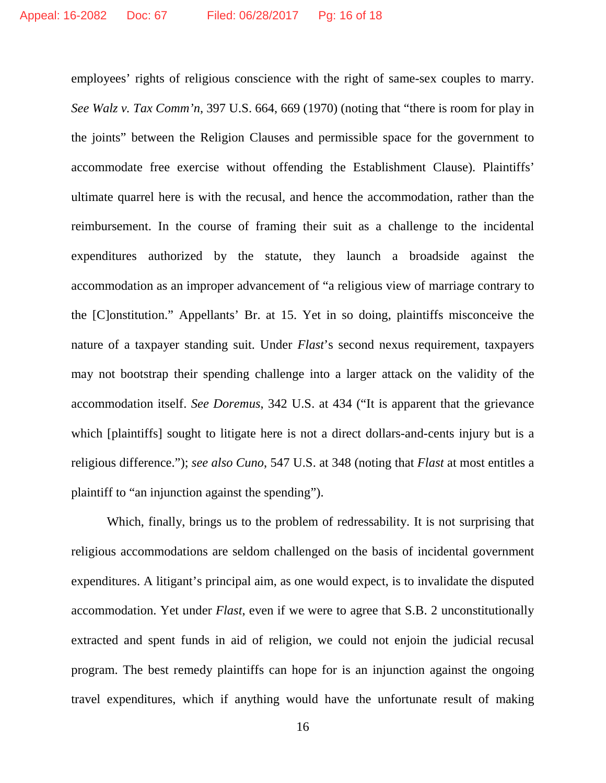employees' rights of religious conscience with the right of same-sex couples to marry. *See Walz v. Tax Comm'n*, 397 U.S. 664, 669 (1970) (noting that "there is room for play in the joints" between the Religion Clauses and permissible space for the government to accommodate free exercise without offending the Establishment Clause). Plaintiffs' ultimate quarrel here is with the recusal, and hence the accommodation, rather than the reimbursement. In the course of framing their suit as a challenge to the incidental expenditures authorized by the statute, they launch a broadside against the accommodation as an improper advancement of "a religious view of marriage contrary to the [C]onstitution." Appellants' Br. at 15. Yet in so doing, plaintiffs misconceive the nature of a taxpayer standing suit. Under *Flast*'s second nexus requirement, taxpayers may not bootstrap their spending challenge into a larger attack on the validity of the accommodation itself. *See Doremus*, 342 U.S. at 434 ("It is apparent that the grievance which [plaintiffs] sought to litigate here is not a direct dollars-and-cents injury but is a religious difference."); *see also Cuno*, 547 U.S. at 348 (noting that *Flast* at most entitles a plaintiff to "an injunction against the spending").

Which, finally, brings us to the problem of redressability. It is not surprising that religious accommodations are seldom challenged on the basis of incidental government expenditures. A litigant's principal aim, as one would expect, is to invalidate the disputed accommodation. Yet under *Flast*, even if we were to agree that S.B. 2 unconstitutionally extracted and spent funds in aid of religion, we could not enjoin the judicial recusal program. The best remedy plaintiffs can hope for is an injunction against the ongoing travel expenditures, which if anything would have the unfortunate result of making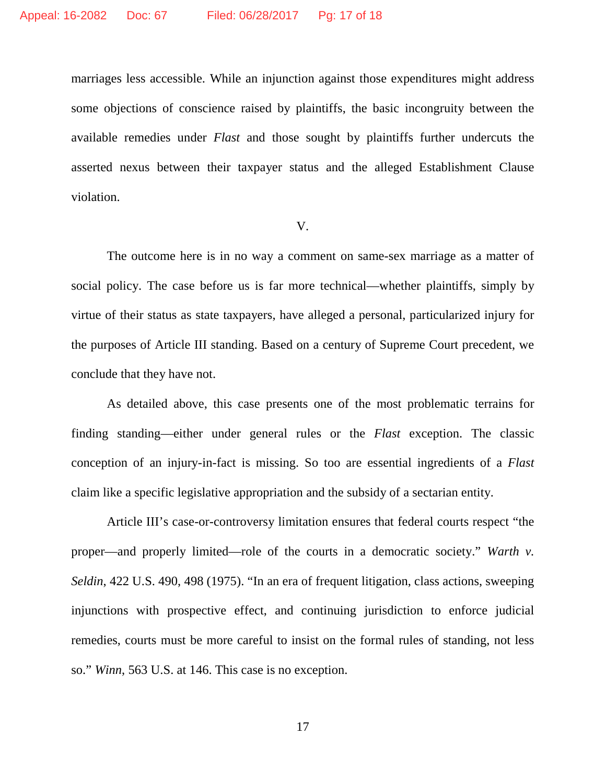marriages less accessible. While an injunction against those expenditures might address some objections of conscience raised by plaintiffs, the basic incongruity between the available remedies under *Flast* and those sought by plaintiffs further undercuts the asserted nexus between their taxpayer status and the alleged Establishment Clause violation.

#### V.

The outcome here is in no way a comment on same-sex marriage as a matter of social policy. The case before us is far more technical—whether plaintiffs, simply by virtue of their status as state taxpayers, have alleged a personal, particularized injury for the purposes of Article III standing. Based on a century of Supreme Court precedent, we conclude that they have not.

As detailed above, this case presents one of the most problematic terrains for finding standing—either under general rules or the *Flast* exception. The classic conception of an injury-in-fact is missing. So too are essential ingredients of a *Flast*  claim like a specific legislative appropriation and the subsidy of a sectarian entity.

Article III's case-or-controversy limitation ensures that federal courts respect "the proper—and properly limited—role of the courts in a democratic society." *Warth v. Seldin*, 422 U.S. 490, 498 (1975). "In an era of frequent litigation, class actions, sweeping injunctions with prospective effect, and continuing jurisdiction to enforce judicial remedies, courts must be more careful to insist on the formal rules of standing, not less so." *Winn*, 563 U.S. at 146. This case is no exception.

17